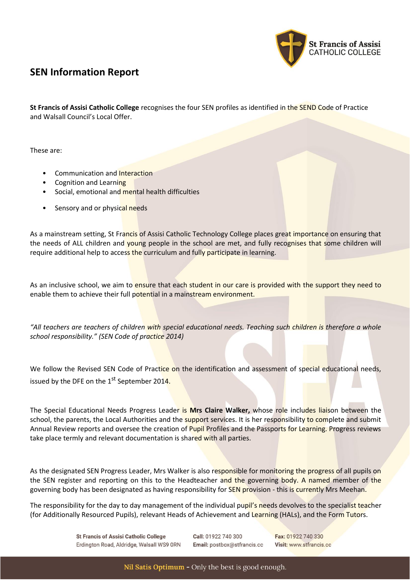

# **SEN Information Report**

**St Francis of Assisi Catholic College** recognises the four SEN profiles as identified in the SEND Code of Practice and Walsall Council's Local Offer.

These are:

- Communication and Interaction
- Cognition and Learning
- Social, emotional and mental health difficulties
- Sensory and or physical needs

As a mainstream setting, St Francis of Assisi Catholic Technology College places great importance on ensuring that the needs of ALL children and young people in the school are met, and fully recognises that some children will require additional help to access the curriculum and fully participate in learning.

As an inclusive school, we aim to ensure that each student in our care is provided with the support they need to enable them to achieve their full potential in a mainstream environment.

*"All teachers are teachers of children with special educational needs. Teaching such children is therefore a whole school responsibility." (SEN Code of practice 2014)*

We follow the Revised SEN Code of Practice on the identification and assessment of special educational needs, issued by the DFE on the  $1<sup>st</sup>$  September 2014.

The Special Educational Needs Progress Leader is **Mrs Claire Walker,** whose role includes liaison between the school, the parents, the Local Authorities and the support services. It is her responsibility to complete and submit Annual Review reports and oversee the creation of Pupil Profiles and the Passports for Learning. Progress reviews take place termly and relevant documentation is shared with all parties.

As the designated SEN Progress Leader, Mrs Walker is also responsible for monitoring the progress of all pupils on the SEN register and reporting on this to the Headteacher and the governing body. A named member of the governing body has been designated as having responsibility for SEN provision - this is currently Mrs Meehan.

The responsibility for the day to day management of the individual pupil's needs devolves to the specialist teacher (for Additionally Resourced Pupils), relevant Heads of Achievement and Learning (HALs), and the Form Tutors.

> **St Francis of Assisi Catholic College** Erdington Road, Aldridge, Walsall WS9 ORN

Call: 01922 740 300 Email: postbox@stfrancis.cc Fax: 01922 740 330 Visit: www.stfrancis.cc

Nil Satis Optimum - Only the best is good enough.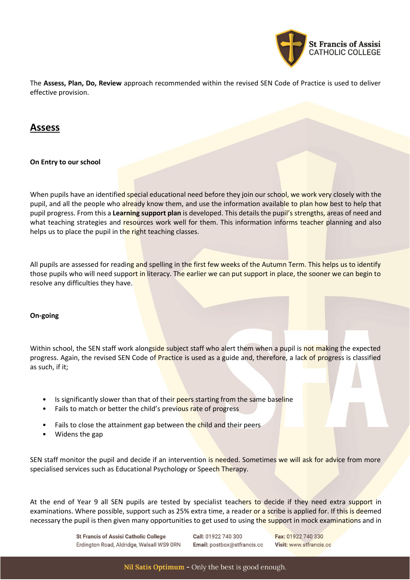

The **Assess, Plan, Do, Review** approach recommended within the revised SEN Code of Practice is used to deliver effective provision.

## **Assess**

**On Entry to our school**

When pupils have an identified special educational need before they join our school, we work very closely with the pupil, and all the people who already know them, and use the information available to plan how best to help that pupil progress. From this a **Learning support plan** is developed. This details the pupil's strengths, areas of need and what teaching strategies and resources work well for them. This information informs teacher planning and also helps us to place the pupil in the right teaching classes.

All pupils are assessed for reading and spelling in the first few weeks of the Autumn Term. This helps us to identify those pupils who will need support in literacy. The earlier we can put support in place, the sooner we can begin to resolve any difficulties they have.

### **On-going**

Within school, the SEN staff work alongside subject staff who alert them when a pupil is not making the expected progress. Again, the revised SEN Code of Practice is used as a guide and, therefore, a lack of progress is classified as such, if it;

- Is significantly slower than that of their peers starting from the same baseline
- Fails to match or better the child's previous rate of progress
- Fails to close the attainment gap between the child and their peers
- Widens the gap

SEN staff monitor the pupil and decide if an intervention is needed. Sometimes we will ask for advice from more specialised services such as Educational Psychology or Speech Therapy.

At the end of Year 9 all SEN pupils are tested by specialist teachers to decide if they need extra support in examinations. Where possible, support such as 25% extra time, a reader or a scribe is applied for. If this is deemed necessary the pupil is then given many opportunities to get used to using the support in mock examinations and in

> **St Francis of Assisi Catholic College** Erdington Road, Aldridge, Walsall WS9 ORN

Call: 01922 740 300 Email: postbox@stfrancis.cc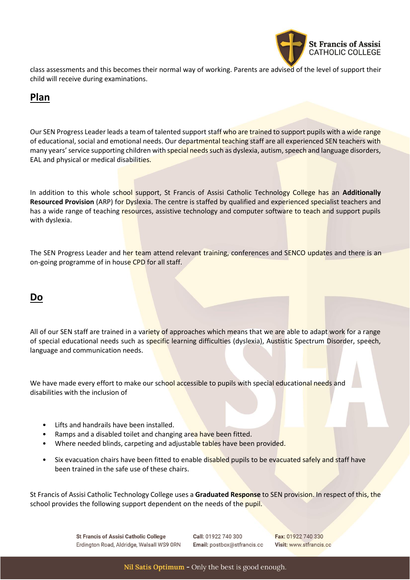

class assessments and this becomes their normal way of working. Parents are advised of the level of support their child will receive during examinations.

# **Plan**

Our SEN Progress Leader leads a team of talented support staff who are trained to support pupils with a wide range of educational, social and emotional needs. Our departmental teaching staff are all experienced SEN teachers with many years' service supporting children with special needs such as dyslexia, autism, speech and language disorders, EAL and physical or medical disabilities.

In addition to this whole school support, St Francis of Assisi Catholic Technology College has an **Additionally Resourced Provision** (ARP) for Dyslexia. The centre is staffed by qualified and experienced specialist teachers and has a wide range of teaching resources, assistive technology and computer software to teach and support pupils with dyslexia.

The SEN Progress Leader and her team attend relevant training, conferences and SENCO updates and there is an on-going programme of in house CPD for all staff.

## **Do**

All of our SEN staff are trained in a variety of approaches which means that we are able to adapt work for a range of special educational needs such as specific learning difficulties (dyslexia), Austistic Spectrum Disorder, speech, language and communication needs.

We have made every effort to make our school accessible to pupils with special educational needs and disabilities with the inclusion of

- Lifts and handrails have been installed.
- Ramps and a disabled toilet and changing area have been fitted.
- Where needed blinds, carpeting and adjustable tables have been provided.
- Six evacuation chairs have been fitted to enable disabled pupils to be evacuated safely and staff have been trained in the safe use of these chairs.

St Francis of Assisi Catholic Technology College uses a **Graduated Response** to SEN provision. In respect of this, the school provides the following support dependent on the needs of the pupil.

> **St Francis of Assisi Catholic College** Erdington Road, Aldridge, Walsall WS9 ORN

Call: 01922 740 300 Email: postbox@stfrancis.cc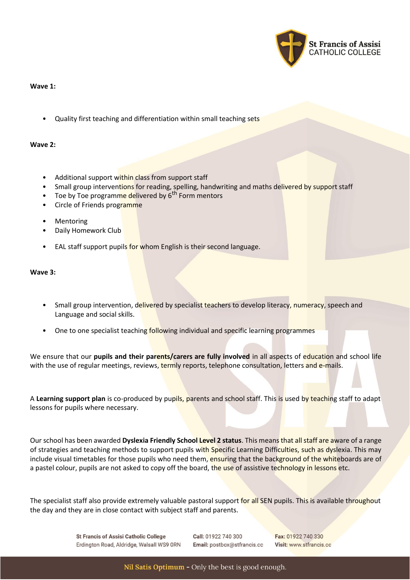

### **Wave 1:**

• Quality first teaching and differentiation within small teaching sets

#### **Wave 2:**

- Additional support within class from support staff
- Small group interventions for reading, spelling, handwriting and maths delivered by support staff
- Toe by Toe programme delivered by 6<sup>th</sup> Form mentors
- Circle of Friends programme
- **Mentoring**
- Daily Homework Club
- EAL staff support pupils for whom English is their second language.

#### **Wave 3:**

- Small group intervention, delivered by specialist teachers to develop literacy, numeracy, speech and Language and social skills.
- One to one specialist teaching following individual and specific learning programmes

We ensure that our **pupils and their parents/carers are fully involved** in all aspects of education and school life with the use of regular meetings, reviews, termly reports, telephone consultation, letters and e-mails.

A **Learning support plan** is co-produced by pupils, parents and school staff. This is used by teaching staff to adapt lessons for pupils where necessary.

Our school has been awarded **Dyslexia Friendly School Level 2 status**. This means that all staff are aware of a range of strategies and teaching methods to support pupils with Specific Learning Difficulties, such as dyslexia. This may include visual timetables for those pupils who need them, ensuring that the background of the whiteboards are of a pastel colour, pupils are not asked to copy off the board, the use of assistive technology in lessons etc.

The specialist staff also provide extremely valuable pastoral support for all SEN pupils. This is available throughout the day and they are in close contact with subject staff and parents.

> **St Francis of Assisi Catholic College** Erdington Road, Aldridge, Walsall WS9 ORN

Call: 01922 740 300 Email: postbox@stfrancis.cc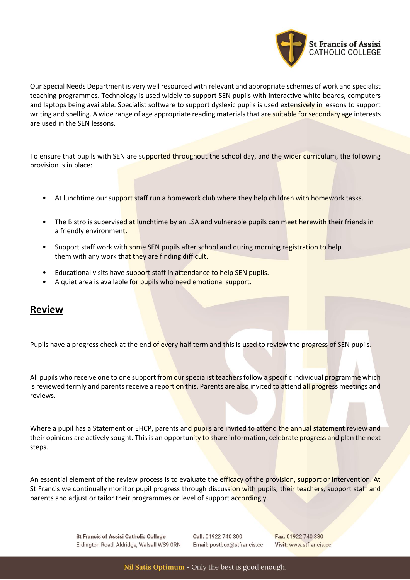

Our Special Needs Department is very well resourced with relevant and appropriate schemes of work and specialist teaching programmes. Technology is used widely to support SEN pupils with interactive white boards, computers and laptops being available. Specialist software to support dyslexic pupils is used extensively in lessons to support writing and spelling. A wide range of age appropriate reading materials that are suitable for secondary age interests are used in the SEN lessons.

To ensure that pupils with SEN are supported throughout the school day, and the wider curriculum, the following provision is in place:

- At lunchtime our support staff run a homework club where they help children with homework tasks.
- The Bistro is supervised at lunchtime by an LSA and vulnerable pupils can meet herewith their friends in a friendly environment.
- Support staff work with some SEN pupils after school and during morning registration to help them with any work that they are finding difficult.
- Educational visits have support staff in attendance to help SEN pupils.
- A quiet area is available for pupils who need emotional support.

### **Review**

Pupils have a progress check at the end of every half term and this is used to review the progress of SEN pupils.

All pupils who receive one to one support from our specialist teachers follow a specific individual programme which is reviewed termly and parents receive a report on this. Parents are also invited to attend all progress meetings and reviews.

Where a pupil has a Statement or EHCP, parents and pupils are invited to attend the annual statement review and their opinions are actively sought. This is an opportunity to share information, celebrate progress and plan the next steps.

An essential element of the review process is to evaluate the efficacy of the provision, support or intervention. At St Francis we continually monitor pupil progress through discussion with pupils, their teachers, support staff and parents and adjust or tailor their programmes or level of support accordingly.

> **St Francis of Assisi Catholic College** Erdington Road, Aldridge, Walsall WS9 ORN

Call: 01922 740 300 Email: postbox@stfrancis.cc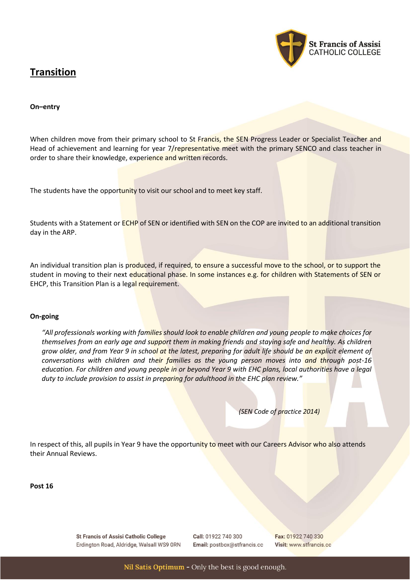# **Transition**



### **On–entry**

When children move from their primary school to St Francis, the SEN Progress Leader or Specialist Teacher and Head of achievement and learning for year 7/representative meet with the primary SENCO and class teacher in order to share their knowledge, experience and written records.

The students have the opportunity to visit our school and to meet key staff.

Students with a Statement or ECHP of SEN or identified with SEN on the COP are invited to an additional transition day in the ARP.

An individual transition plan is produced, if required, to ensure a successful move to the school, or to support the student in moving to their next educational phase. In some instances e.g. for children with Statements of SEN or EHCP, this Transition Plan is a legal requirement.

#### **On-going**

*"All professionals working with families should look to enable children and young people to make choices for themselves from an early age and support them in making friends and staying safe and healthy. As children grow older, and from Year 9 in school at the latest, preparing for adult life should be an explicit element of conversations with children and their families as the young person moves into and through post-16 education. For children and young people in or beyond Year 9 with EHC plans, local authorities have a legal duty to include provision to assist in preparing for adulthood in the EHC plan review."*

*(SEN Code of practice 2014)*

In respect of this, all pupils in Year 9 have the opportunity to meet with our Careers Advisor who also attends their Annual Reviews.

**Post 16**

**St Francis of Assisi Catholic College** Erdington Road, Aldridge, Walsall WS9 ORN Call: 01922 740 300 Email: postbox@stfrancis.cc